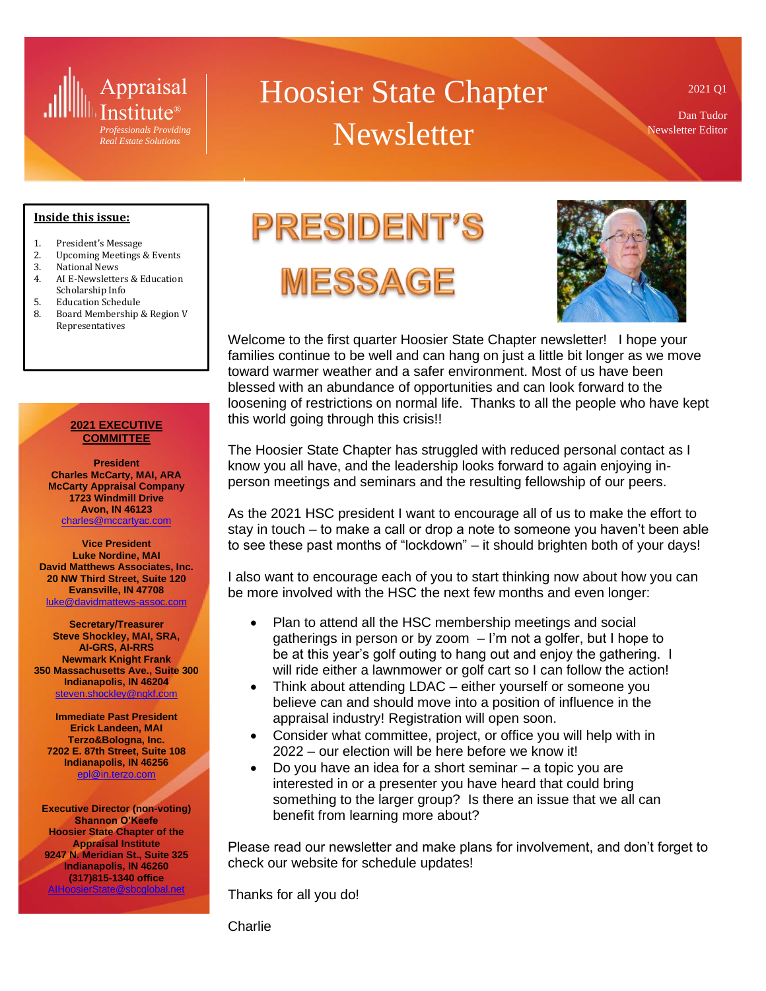

# Hoosier State Chapter **Newsletter**

2021 Q1

Dan Tudor Newsletter Editor

#### **Inside this issue:**

- 1. President's Message
- 2. Upcoming Meetings & Events
- 3. National News
- 4. AI E-Newsletters & Education Scholarship Info
- 5. Education Schedule
- 8. Board Membership & Region V Representatives

#### **2021 EXECUTIVE COMMITTEE**

**President Charles McCarty, MAI, ARA McCarty Appraisal Company 1723 Windmill Drive Avon, IN 46123** [charles@mccartyac.com](mailto:charles@mccartyac.com)

**Vice President Luke Nordine, MAI David Matthews Associates, Inc. 20 NW Third Street, Suite 120 Evansville, IN 47708** [luke@davidmattews-assoc.com](mailto:luke@davidmattews-assoc.com)

**Secretary/Treasurer Steve Shockley, MAI, SRA, AI-GRS, AI-RRS Newmark Knight Frank 350 Massachusetts Ave., Suite 300 Indianapolis, IN 46204** [steven.shockley@ngkf.com](mailto:steven.shockley@ngkf.com)

**Immediate Past President Erick Landeen, MAI Terzo&Bologna, Inc. 7202 E. 87th Street, Suite 108 Indianapolis, IN 46256** [epl@in.terzo.com](mailto:epl@in.terzo.com)

**Executive Director (non-voting) Shannon O'Keefe Hoosier State Chapter of the Appraisal Institute 9247 N. Meridian St., Suite 325 Indianapolis, IN 46260 (317)815-1340 office** [AIHoosierState@sbcglobal.net](mailto:AIHoosierState@sbcglobal.net)

**PRESIDENT'S** 





Welcome to the first quarter Hoosier State Chapter newsletter! I hope your families continue to be well and can hang on just a little bit longer as we move toward warmer weather and a safer environment. Most of us have been blessed with an abundance of opportunities and can look forward to the loosening of restrictions on normal life. Thanks to all the people who have kept this world going through this crisis!!

The Hoosier State Chapter has struggled with reduced personal contact as I know you all have, and the leadership looks forward to again enjoying inperson meetings and seminars and the resulting fellowship of our peers.

As the 2021 HSC president I want to encourage all of us to make the effort to stay in touch – to make a call or drop a note to someone you haven't been able to see these past months of "lockdown" – it should brighten both of your days!

I also want to encourage each of you to start thinking now about how you can be more involved with the HSC the next few months and even longer:

- Plan to attend all the HSC membership meetings and social gatherings in person or by zoom  $-1$ 'm not a golfer, but I hope to be at this year's golf outing to hang out and enjoy the gathering. I will ride either a lawnmower or golf cart so I can follow the action!
- Think about attending LDAC either yourself or someone you believe can and should move into a position of influence in the appraisal industry! Registration will open soon.
- Consider what committee, project, or office you will help with in 2022 – our election will be here before we know it!
- Do you have an idea for a short seminar a topic you are interested in or a presenter you have heard that could bring something to the larger group? Is there an issue that we all can benefit from learning more about?

Please read our newsletter and make plans for involvement, and don't forget to check our website for schedule updates!

Thanks for all you do!

Charlie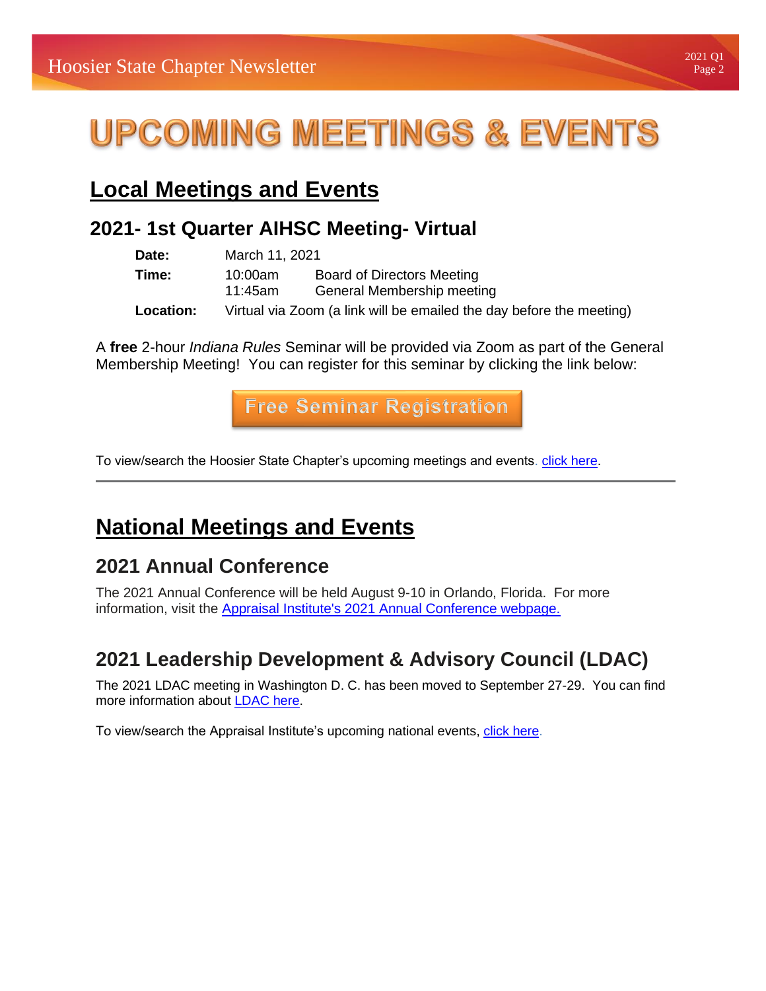# **UPCOMING MEETINGS & EVENTS**

## **Local Meetings and Events**

## **2021- 1st Quarter AIHSC Meeting- Virtual**

| Date:     | March 11, 2021     |                                                                      |  |  |
|-----------|--------------------|----------------------------------------------------------------------|--|--|
| Time:     | 10:00am<br>11:45am | <b>Board of Directors Meeting</b><br>General Membership meeting      |  |  |
| Location: |                    | Virtual via Zoom (a link will be emailed the day before the meeting) |  |  |

A **free** 2-hour *Indiana Rules* Seminar will be provided via Zoom as part of the General Membership Meeting! You can register for this seminar by clicking the link below:

**Free [Seminar Registration](https://ai.appraisalinstitute.org/eweb/DynamicPage.aspx?webcode=AIChapterRegistration&Reg_evt_key=4F29027C-7383-4FED-9C3B-6296B0D05E31&goback=0)**

To view/search the Hoosier State Chapter's upcoming meetings and events. [click here.](https://aihsc.org/meetings-and-events/)

## **National Meetings and Events**

## **2021 Annual Conference**

The 2021 Annual Conference will be held August 9-10 in Orlando, Florida. For more information, visit the [Appraisal Institute's 2021 Annual Conference webpage.](https://www.appraisalinstitute.org/annual-conference/#:~:text=Annual%20Conference%20Dates%20Announced,have%20been%20confirmed%20for%202021)

## **2021 Leadership Development & Advisory Council (LDAC)**

The 2021 LDAC meeting in Washington D. C. has been moved to September 27-29. You can find more information about [LDAC here.](https://www.appraisalinstitute.org/about/leadership-development-and-advisory-council-ldac/)

To view/search the Appraisal Institute's upcoming national events, [click here.](http://www.appraisalinstitute.org/events/list/)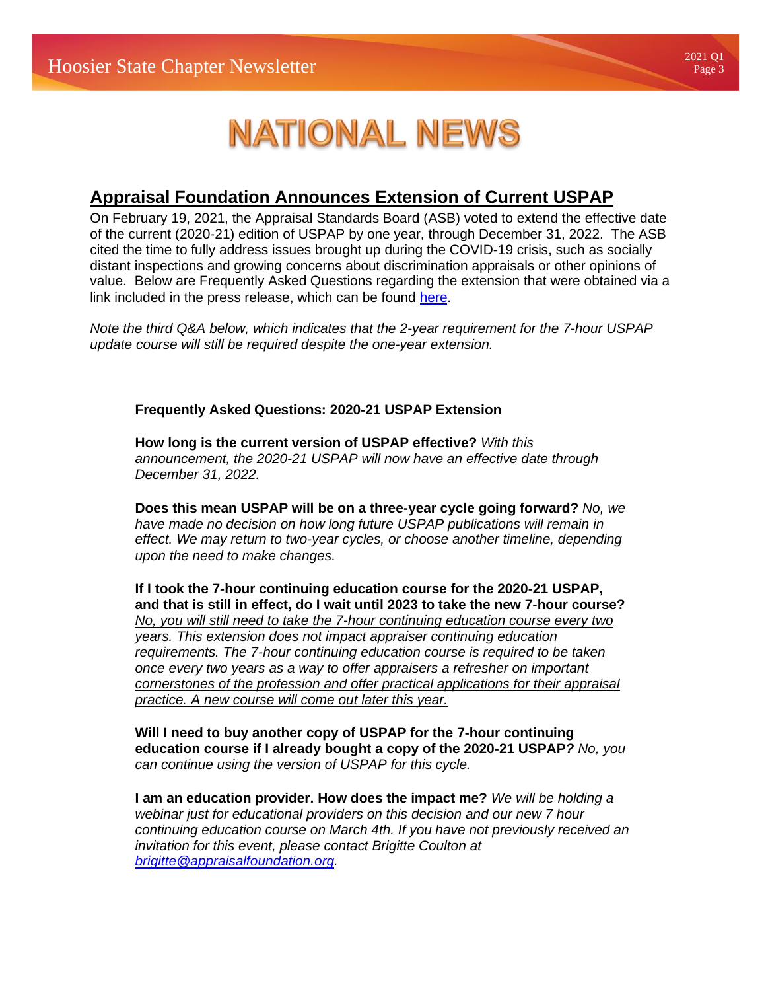## Page 3

# **NATIONAL NEWS**

### **Appraisal Foundation Announces Extension of Current USPAP**

On February 19, 2021, the Appraisal Standards Board (ASB) voted to extend the effective date of the current (2020-21) edition of USPAP by one year, through December 31, 2022. The ASB cited the time to fully address issues brought up during the COVID-19 crisis, such as socially distant inspections and growing concerns about discrimination appraisals or other opinions of value. Below are Frequently Asked Questions regarding the extension that were obtained via a link included in the press release, which can be found [here.](https://appraisalfoundation.sharefile.com/d-sfc53c1a2d64f4151b0c789437aa99cf7)

*Note the third Q&A below, which indicates that the 2-year requirement for the 7-hour USPAP update course will still be required despite the one-year extension.* 

#### **Frequently Asked Questions: 2020-21 USPAP Extension**

**How long is the current version of USPAP effective?** *With this announcement, the 2020-21 USPAP will now have an effective date through December 31, 2022.*

**Does this mean USPAP will be on a three-year cycle going forward?** *No, we have made no decision on how long future USPAP publications will remain in effect. We may return to two-year cycles, or choose another timeline, depending upon the need to make changes.*

**If I took the 7-hour continuing education course for the 2020-21 USPAP, and that is still in effect, do I wait until 2023 to take the new 7-hour course?** *No, you will still need to take the 7-hour continuing education course every two years. This extension does not impact appraiser continuing education requirements. The 7-hour continuing education course is required to be taken once every two years as a way to offer appraisers a refresher on important cornerstones of the profession and offer practical applications for their appraisal practice. A new course will come out later this year.*

**Will I need to buy another copy of USPAP for the 7-hour continuing education course if I already bought a copy of the 2020-21 USPAP***? No, you can continue using the version of USPAP for this cycle.*

**I am an education provider. How does the impact me?** *We will be holding a webinar just for educational providers on this decision and our new 7 hour continuing education course on March 4th. If you have not previously received an invitation for this event, please contact Brigitte Coulton at [brigitte@appraisalfoundation.org.](mailto:brigitte@appraisalfoundation.org)*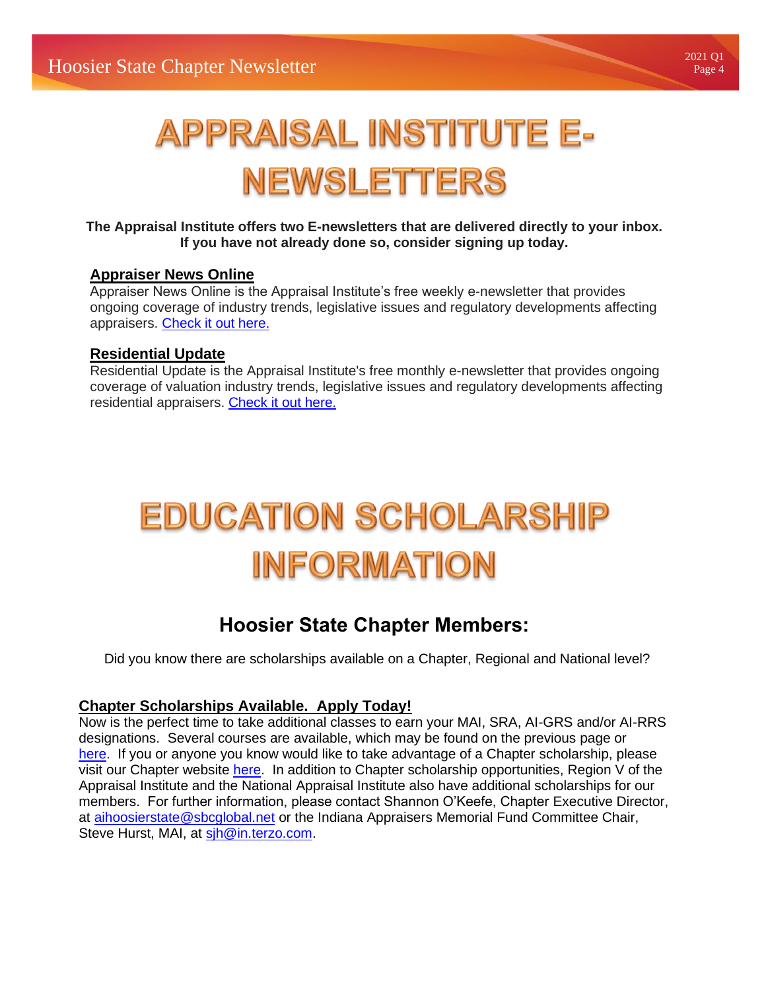# **APPRAISAL INSTITUTE E-NEWSLETTERS**

#### **The Appraisal Institute offers two E-newsletters that are delivered directly to your inbox. If you have not already done so, consider signing up today.**

#### **[Appraiser News Online](https://www.appraisalinstitute.org/ano/)**

Appraiser News Online is the Appraisal Institute's free weekly e-newsletter that provides ongoing coverage of industry trends, legislative issues and regulatory developments affecting appraisers. [Check it out here.](https://www.appraisalinstitute.org/ano/)

#### **[Residential Update](https://www.appraisalinstitute.org/ano/)**

Residential Update is the Appraisal Institute's free monthly e-newsletter that provides ongoing coverage of valuation industry trends, legislative issues and regulatory developments affecting residential appraisers. [Check it out here.](https://www.appraisalinstitute.org/ru/)

# **EDUCATION SCHOLARSHIP INFORMATION**

## **Hoosier State Chapter Members:**

Did you know there are scholarships available on a Chapter, Regional and National level?

#### **Chapter Scholarships Available. Apply Today!**

Now is the perfect time to take additional classes to earn your MAI, SRA, AI-GRS and/or AI-RRS designations. Several courses are available, which may be found on the previous page or [here.](https://urldefense.proofpoint.com/v2/url?u=https-3A__aihsc.org_education_course-2Dlistings_&d=DwMFAg&c=3v6EBbtpnn9A7jIZYjOw6KN7Pe17WoimzcinOq2Xztg&r=Lk1obU7TnPiPCeuRd8NSPkSylfC0R398V5h7a7El8e0&m=sSc3MnSS_n35qKzQXwWK5Z-eP8urrZca5O8uBvEKOeA&s=upH1xrY_ujY1Znc-s-s0yv7UONSlGus2YrB8SHHAc2w&e=) If you or anyone you know would like to take advantage of a Chapter scholarship, please visit our Chapter website [here.](https://urldefense.proofpoint.com/v2/url?u=https-3A__aihsc.org_education_scholarships_&d=DwMFAg&c=3v6EBbtpnn9A7jIZYjOw6KN7Pe17WoimzcinOq2Xztg&r=Lk1obU7TnPiPCeuRd8NSPkSylfC0R398V5h7a7El8e0&m=sSc3MnSS_n35qKzQXwWK5Z-eP8urrZca5O8uBvEKOeA&s=KAfmS7WXr0pX1JkHmNhSj88j2M_HclFKftdrgo-LA6U&e=) In addition to Chapter scholarship opportunities, Region V of the Appraisal Institute and the National Appraisal Institute also have additional scholarships for our members. For further information, please contact Shannon O'Keefe, Chapter Executive Director, at [aihoosierstate@sbcglobal.net](mailto:aihoosierstate@sbcglobal.net) or the Indiana Appraisers Memorial Fund Committee Chair, Steve Hurst, MAI, at sin @in.terzo.com.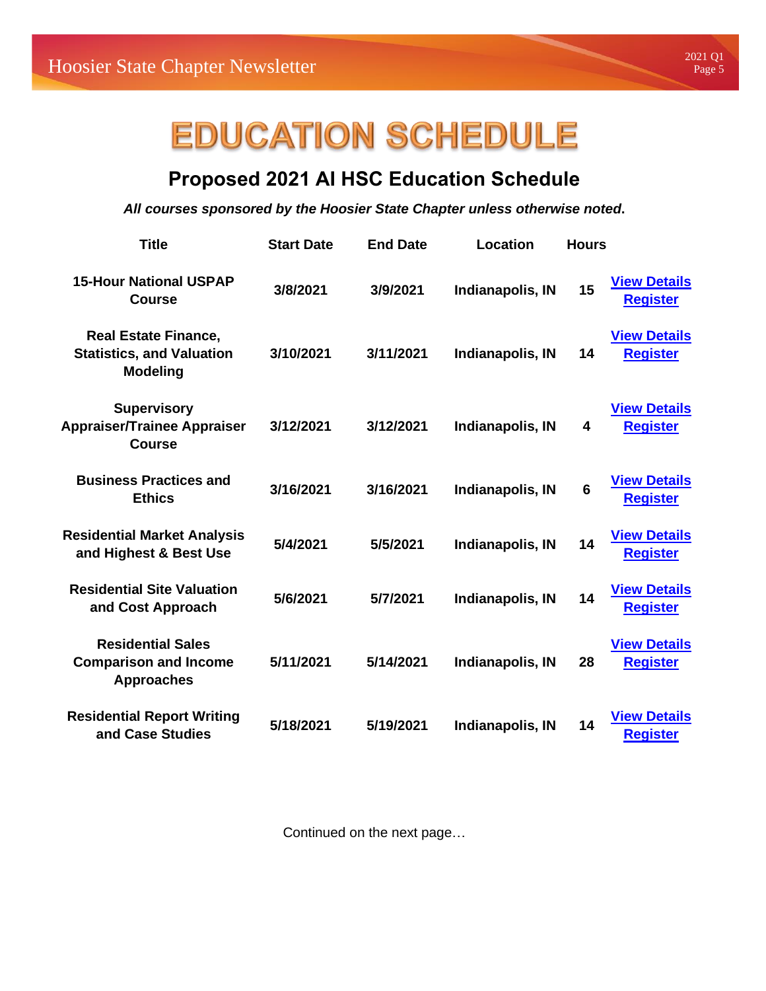# **EDUCATION SCHEDULE**

## **Proposed 2021 AI HSC Education Schedule**

*All courses sponsored by the Hoosier State Chapter unless otherwise noted***.**

| <b>Title</b>                                                                       | <b>Start Date</b> | <b>End Date</b> | Location         | <b>Hours</b>    |                                        |
|------------------------------------------------------------------------------------|-------------------|-----------------|------------------|-----------------|----------------------------------------|
| <b>15-Hour National USPAP</b><br>Course                                            | 3/8/2021          | 3/9/2021        | Indianapolis, IN | 15              | <b>View Details</b><br><b>Register</b> |
| <b>Real Estate Finance,</b><br><b>Statistics, and Valuation</b><br><b>Modeling</b> | 3/10/2021         | 3/11/2021       | Indianapolis, IN | 14              | <b>View Details</b><br><b>Register</b> |
| <b>Supervisory</b><br><b>Appraiser/Trainee Appraiser</b><br><b>Course</b>          | 3/12/2021         | 3/12/2021       | Indianapolis, IN | 4               | <b>View Details</b><br><b>Register</b> |
| <b>Business Practices and</b><br><b>Ethics</b>                                     | 3/16/2021         | 3/16/2021       | Indianapolis, IN | $6\phantom{1}6$ | <b>View Details</b><br><b>Register</b> |
| <b>Residential Market Analysis</b><br>and Highest & Best Use                       | 5/4/2021          | 5/5/2021        | Indianapolis, IN | 14              | <b>View Details</b><br><b>Register</b> |
| <b>Residential Site Valuation</b><br>and Cost Approach                             | 5/6/2021          | 5/7/2021        | Indianapolis, IN | 14              | <b>View Details</b><br><b>Register</b> |
| <b>Residential Sales</b><br><b>Comparison and Income</b><br><b>Approaches</b>      | 5/11/2021         | 5/14/2021       | Indianapolis, IN | 28              | <b>View Details</b><br><b>Register</b> |
| <b>Residential Report Writing</b><br>and Case Studies                              | 5/18/2021         | 5/19/2021       | Indianapolis, IN | 14              | <b>View Details</b><br><b>Register</b> |

Continued on the next page…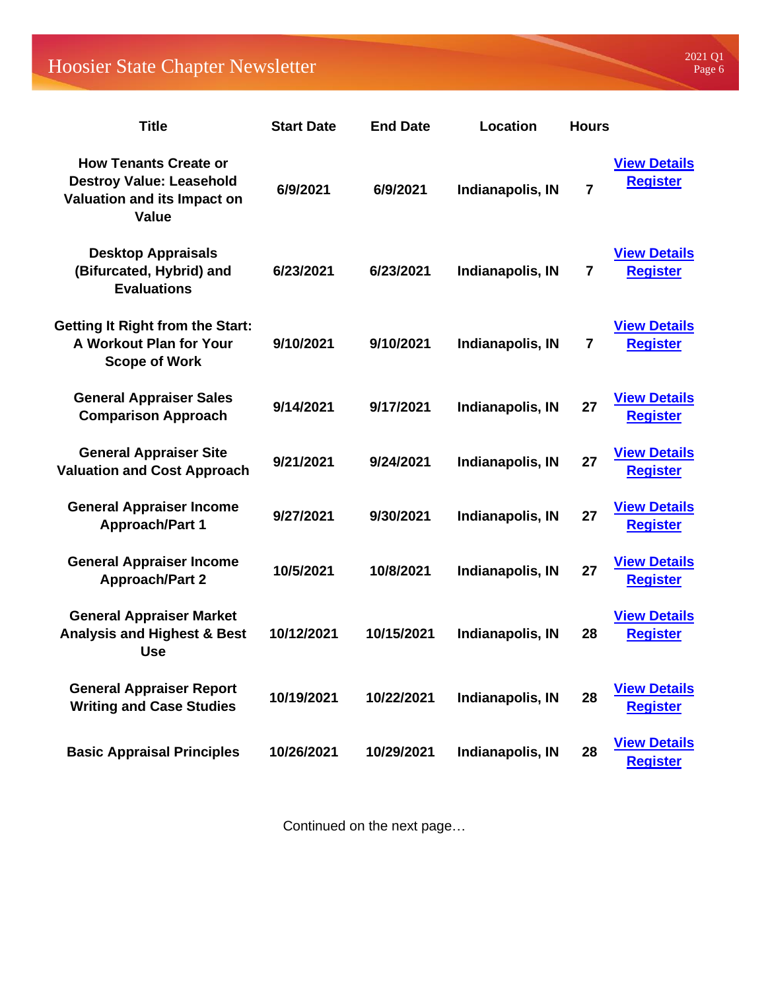## Hoosier State Chapter Newsletter

| <b>Title</b>                                                                                                   | <b>Start Date</b> | <b>End Date</b> | <b>Location</b>  | <b>Hours</b>            |                                        |
|----------------------------------------------------------------------------------------------------------------|-------------------|-----------------|------------------|-------------------------|----------------------------------------|
| <b>How Tenants Create or</b><br><b>Destroy Value: Leasehold</b><br>Valuation and its Impact on<br><b>Value</b> | 6/9/2021          | 6/9/2021        | Indianapolis, IN | $\overline{7}$          | <b>View Details</b><br><b>Register</b> |
| <b>Desktop Appraisals</b><br>(Bifurcated, Hybrid) and<br><b>Evaluations</b>                                    | 6/23/2021         | 6/23/2021       | Indianapolis, IN | $\overline{\mathbf{r}}$ | <b>View Details</b><br><b>Register</b> |
| <b>Getting It Right from the Start:</b><br>A Workout Plan for Your<br><b>Scope of Work</b>                     | 9/10/2021         | 9/10/2021       | Indianapolis, IN | 7                       | <b>View Details</b><br><b>Register</b> |
| <b>General Appraiser Sales</b><br><b>Comparison Approach</b>                                                   | 9/14/2021         | 9/17/2021       | Indianapolis, IN | 27                      | <b>View Details</b><br><b>Register</b> |
| <b>General Appraiser Site</b><br><b>Valuation and Cost Approach</b>                                            | 9/21/2021         | 9/24/2021       | Indianapolis, IN | 27                      | <b>View Details</b><br><b>Register</b> |
| <b>General Appraiser Income</b><br><b>Approach/Part 1</b>                                                      | 9/27/2021         | 9/30/2021       | Indianapolis, IN | 27                      | <b>View Details</b><br><b>Register</b> |
| <b>General Appraiser Income</b><br><b>Approach/Part 2</b>                                                      | 10/5/2021         | 10/8/2021       | Indianapolis, IN | 27                      | <b>View Details</b><br><b>Register</b> |
| <b>General Appraiser Market</b><br><b>Analysis and Highest &amp; Best</b><br><b>Use</b>                        | 10/12/2021        | 10/15/2021      | Indianapolis, IN | 28                      | <b>View Details</b><br><b>Register</b> |
| <b>General Appraiser Report</b><br><b>Writing and Case Studies</b>                                             | 10/19/2021        | 10/22/2021      | Indianapolis, IN | 28                      | <b>View Details</b><br><b>Register</b> |
| <b>Basic Appraisal Principles</b>                                                                              | 10/26/2021        | 10/29/2021      | Indianapolis, IN | 28                      | <b>View Details</b><br><b>Register</b> |

Continued on the next page…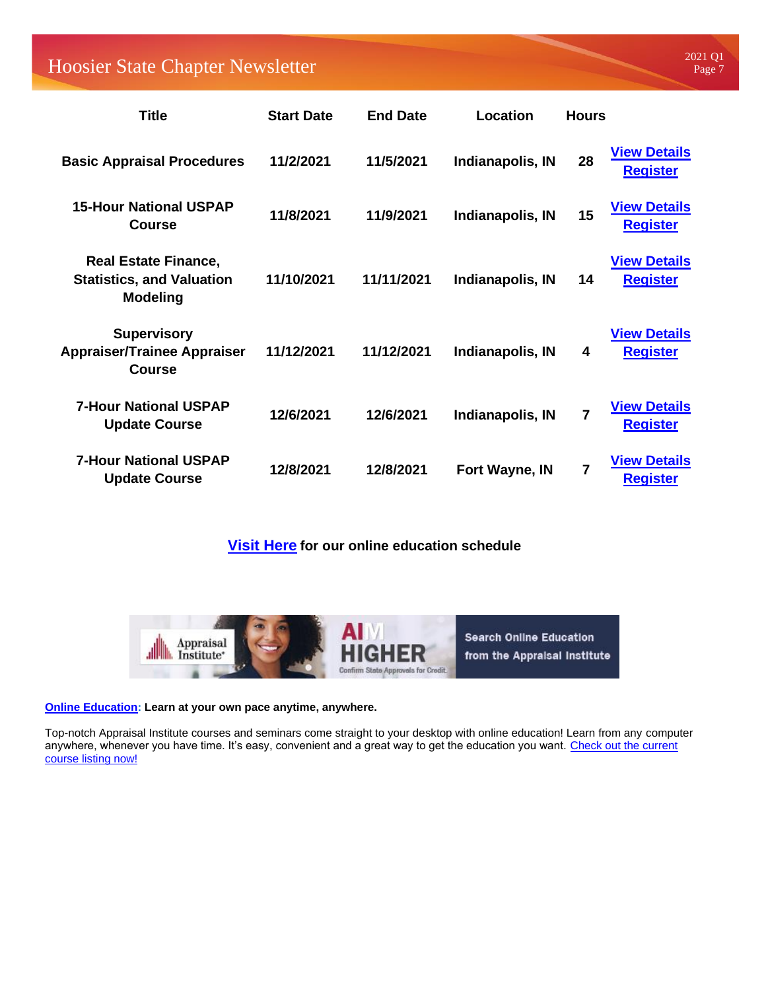Hoosier State Chapter Newsletter 2021 Q1

| <b>Title</b>                                                                       | <b>Start Date</b> | <b>End Date</b> | <b>Location</b>  | <b>Hours</b> |                                        |
|------------------------------------------------------------------------------------|-------------------|-----------------|------------------|--------------|----------------------------------------|
| <b>Basic Appraisal Procedures</b>                                                  | 11/2/2021         | 11/5/2021       | Indianapolis, IN | 28           | <b>View Details</b><br><b>Register</b> |
| <b>15-Hour National USPAP</b><br><b>Course</b>                                     | 11/8/2021         | 11/9/2021       | Indianapolis, IN | 15           | <b>View Details</b><br><b>Register</b> |
| <b>Real Estate Finance,</b><br><b>Statistics, and Valuation</b><br><b>Modeling</b> | 11/10/2021        | 11/11/2021      | Indianapolis, IN | 14           | <b>View Details</b><br><b>Register</b> |
| <b>Supervisory</b><br><b>Appraiser/Trainee Appraiser</b><br><b>Course</b>          | 11/12/2021        | 11/12/2021      | Indianapolis, IN | 4            | <b>View Details</b><br><b>Register</b> |
| <b>7-Hour National USPAP</b><br><b>Update Course</b>                               | 12/6/2021         | 12/6/2021       | Indianapolis, IN | 7            | <b>View Details</b><br><b>Register</b> |
| <b>7-Hour National USPAP</b><br><b>Update Course</b>                               | 12/8/2021         | 12/8/2021       | Fort Wayne, IN   | 7            | <b>View Details</b><br><b>Register</b> |

**[Visit Here](https://aihsc.org/education/course-listings/) for our online education schedule**



#### **[Online Education:](https://www.appraisalinstitute.org/education/online-education/) Learn at your own pace anytime, anywhere.**

Top-notch Appraisal Institute courses and seminars come straight to your desktop with online education! Learn from any computer anywhere, whenever you have time. It's easy, convenient and a great way to get the education you want. Check out the current [course listing now!](https://ai.appraisalinstitute.org/eweb/DynamicPage.aspx?site=AI&webcode=AIProgramByCourseType&CourseType=online&DiscountCode=THANKYOU)